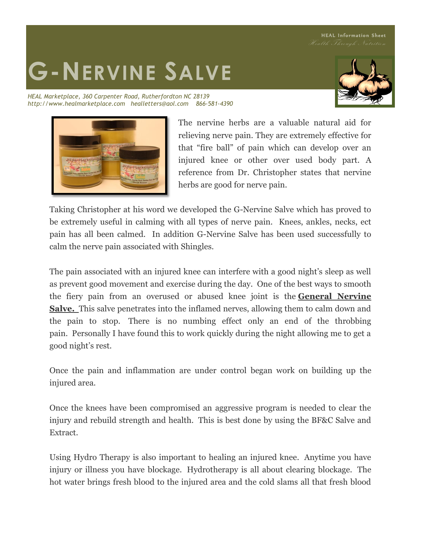HEAL Information Sheet

## **G-NERVINE SALVE**

*HEAL Marketplace, 360 Carpenter Road, Rutherfordton NC 28139 http://www.healmarketplace.com healletters@aol.com 866-581-4390*





The nervine herbs are a valuable natural aid for relieving nerve pain. They are extremely effective for that "fire ball" of pain which can develop over an injured knee or other over used body part. A reference from Dr. Christopher states that nervine herbs are good for nerve pain.

Taking Christopher at his word we developed the G-Nervine Salve which has proved to be extremely useful in calming with all types of nerve pain. Knees, ankles, necks, ect pain has all been calmed. In addition G-Nervine Salve has been used successfully to calm the nerve pain associated with Shingles.

The pain associated with an injured knee can interfere with a good night's sleep as well as prevent good movement and exercise during the day. One of the best ways to smooth the fiery pain from an overused or abused knee joint is the **General Nervine Salve.** This salve penetrates into the inflamed nerves, allowing them to calm down and the pain to stop. There is no numbing effect only an end of the throbbing pain. Personally I have found this to work quickly during the night allowing me to get a good night's rest.

Once the pain and inflammation are under control began work on building up the injured area.

Once the knees have been compromised an aggressive program is needed to clear the injury and rebuild strength and health. This is best done by using the BF&C Salve and Extract.

Using Hydro Therapy is also important to healing an injured knee. Anytime you have injury or illness you have blockage. Hydrotherapy is all about clearing blockage. The hot water brings fresh blood to the injured area and the cold slams all that fresh blood